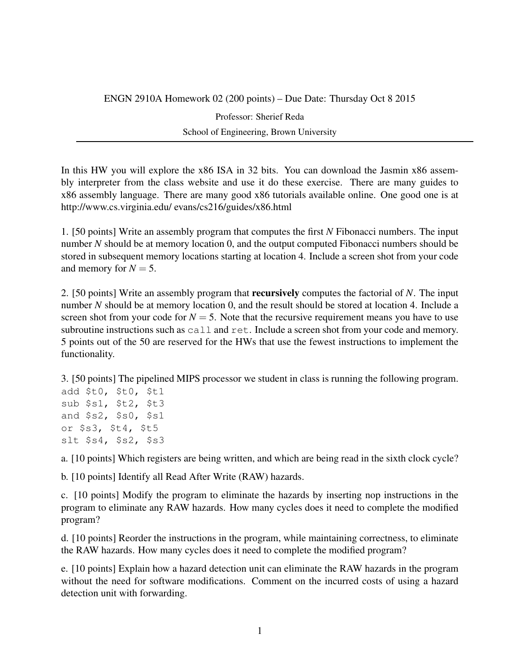## ENGN 2910A Homework 02 (200 points) – Due Date: Thursday Oct 8 2015

Professor: Sherief Reda School of Engineering, Brown University

In this HW you will explore the x86 ISA in 32 bits. You can download the Jasmin x86 assembly interpreter from the class website and use it do these exercise. There are many guides to x86 assembly language. There are many good x86 tutorials available online. One good one is at http://www.cs.virginia.edu/ evans/cs216/guides/x86.html

1. [50 points] Write an assembly program that computes the first *N* Fibonacci numbers. The input number *N* should be at memory location 0, and the output computed Fibonacci numbers should be stored in subsequent memory locations starting at location 4. Include a screen shot from your code and memory for  $N = 5$ .

2. [50 points] Write an assembly program that recursively computes the factorial of *N*. The input number *N* should be at memory location 0, and the result should be stored at location 4. Include a screen shot from your code for  $N = 5$ . Note that the recursive requirement means you have to use subroutine instructions such as call and ret. Include a screen shot from your code and memory. 5 points out of the 50 are reserved for the HWs that use the fewest instructions to implement the functionality.

3. [50 points] The pipelined MIPS processor we student in class is running the following program.

```
add $t0, $t0, $t1
sub $s1, $t2, $t3
and $s2, $s0, $s1
or $s3, $t4, $t5
slt $s4, $s2, $s3
```
a. [10 points] Which registers are being written, and which are being read in the sixth clock cycle?

b. [10 points] Identify all Read After Write (RAW) hazards.

c. [10 points] Modify the program to eliminate the hazards by inserting nop instructions in the program to eliminate any RAW hazards. How many cycles does it need to complete the modified program?

d. [10 points] Reorder the instructions in the program, while maintaining correctness, to eliminate the RAW hazards. How many cycles does it need to complete the modified program?

e. [10 points] Explain how a hazard detection unit can eliminate the RAW hazards in the program without the need for software modifications. Comment on the incurred costs of using a hazard detection unit with forwarding.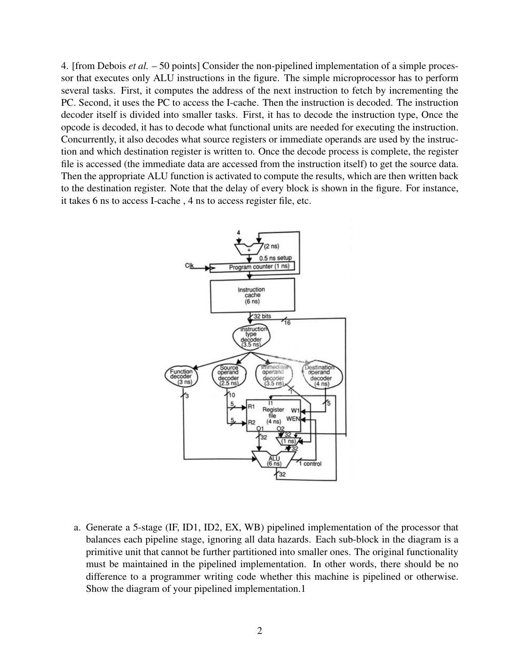4. [from Debois *et al.* – 50 points] Consider the non-pipelined implementation of a simple processor that executes only ALU instructions in the figure. The simple microprocessor has to perform several tasks. First, it computes the address of the next instruction to fetch by incrementing the PC. Second, it uses the PC to access the I-cache. Then the instruction is decoded. The instruction decoder itself is divided into smaller tasks. First, it has to decode the instruction type, Once the opcode is decoded, it has to decode what functional units are needed for executing the instruction. Concurrently, it also decodes what source registers or immediate operands are used by the instruction and which destination register is written to. Once the decode process is complete, the register file is accessed (the immediate data are accessed from the instruction itself) to get the source data. Then the appropriate ALU function is activated to compute the results, which are then written back to the destination register. Note that the delay of every block is shown in the figure. For instance, it takes 6 ns to access I-cache , 4 ns to access register file, etc.



a. Generate a 5-stage (IF, ID1, ID2, EX, WB) pipelined implementation of the processor that balances each pipeline stage, ignoring all data hazards. Each sub-block in the diagram is a primitive unit that cannot be further partitioned into smaller ones. The original functionality must be maintained in the pipelined implementation. In other words, there should be no difference to a programmer writing code whether this machine is pipelined or otherwise. Show the diagram of your pipelined implementation.1